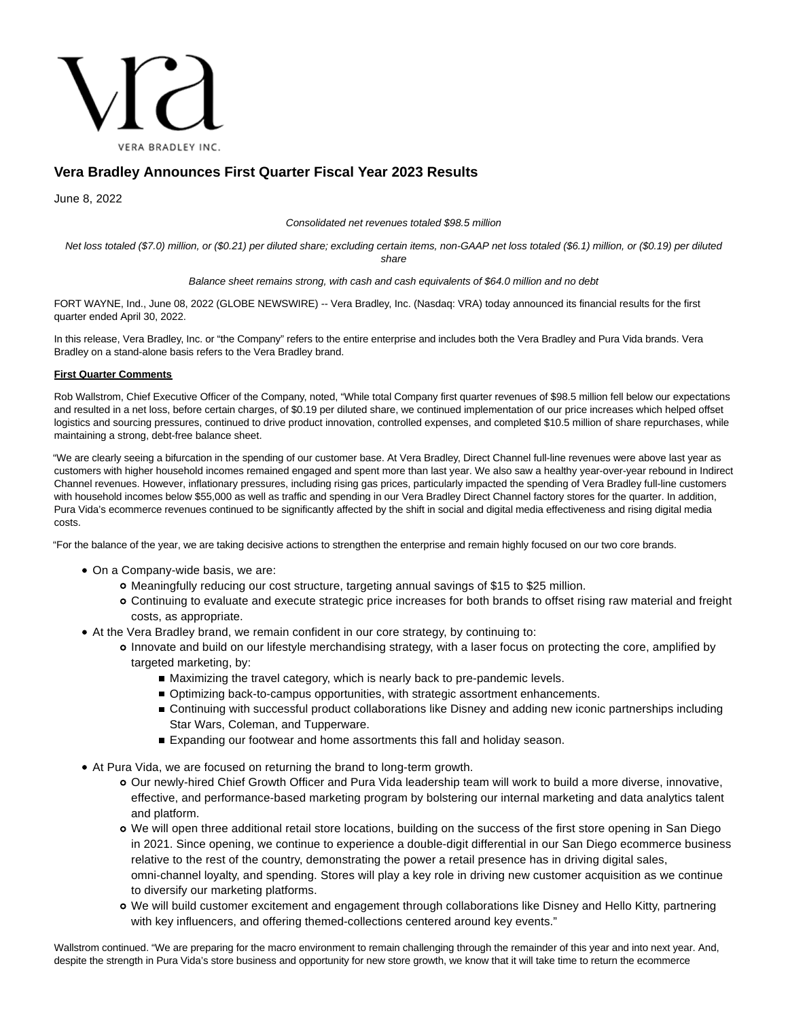

# **Vera Bradley Announces First Quarter Fiscal Year 2023 Results**

June 8, 2022

Consolidated net revenues totaled \$98.5 million

Net loss totaled (\$7.0) million, or (\$0.21) per diluted share; excluding certain items, non-GAAP net loss totaled (\$6.1) million, or (\$0.19) per diluted share

Balance sheet remains strong, with cash and cash equivalents of \$64.0 million and no debt

FORT WAYNE, Ind., June 08, 2022 (GLOBE NEWSWIRE) -- Vera Bradley, Inc. (Nasdaq: VRA) today announced its financial results for the first quarter ended April 30, 2022.

In this release, Vera Bradley, Inc. or "the Company" refers to the entire enterprise and includes both the Vera Bradley and Pura Vida brands. Vera Bradley on a stand-alone basis refers to the Vera Bradley brand.

### **First Quarter Comments**

Rob Wallstrom, Chief Executive Officer of the Company, noted, "While total Company first quarter revenues of \$98.5 million fell below our expectations and resulted in a net loss, before certain charges, of \$0.19 per diluted share, we continued implementation of our price increases which helped offset logistics and sourcing pressures, continued to drive product innovation, controlled expenses, and completed \$10.5 million of share repurchases, while maintaining a strong, debt-free balance sheet.

"We are clearly seeing a bifurcation in the spending of our customer base. At Vera Bradley, Direct Channel full-line revenues were above last year as customers with higher household incomes remained engaged and spent more than last year. We also saw a healthy year-over-year rebound in Indirect Channel revenues. However, inflationary pressures, including rising gas prices, particularly impacted the spending of Vera Bradley full-line customers with household incomes below \$55,000 as well as traffic and spending in our Vera Bradley Direct Channel factory stores for the quarter. In addition, Pura Vida's ecommerce revenues continued to be significantly affected by the shift in social and digital media effectiveness and rising digital media costs.

"For the balance of the year, we are taking decisive actions to strengthen the enterprise and remain highly focused on our two core brands.

- On a Company-wide basis, we are:
	- Meaningfully reducing our cost structure, targeting annual savings of \$15 to \$25 million.
	- Continuing to evaluate and execute strategic price increases for both brands to offset rising raw material and freight costs, as appropriate.
- At the Vera Bradley brand, we remain confident in our core strategy, by continuing to:
	- Innovate and build on our lifestyle merchandising strategy, with a laser focus on protecting the core, amplified by targeted marketing, by:
		- Maximizing the travel category, which is nearly back to pre-pandemic levels.
		- **Detimizing back-to-campus opportunities, with strategic assortment enhancements.**
		- **Continuing with successful product collaborations like Disney and adding new iconic partnerships including** Star Wars, Coleman, and Tupperware.
		- Expanding our footwear and home assortments this fall and holiday season.
- At Pura Vida, we are focused on returning the brand to long-term growth.
	- Our newly-hired Chief Growth Officer and Pura Vida leadership team will work to build a more diverse, innovative, effective, and performance-based marketing program by bolstering our internal marketing and data analytics talent and platform.
	- We will open three additional retail store locations, building on the success of the first store opening in San Diego in 2021. Since opening, we continue to experience a double-digit differential in our San Diego ecommerce business relative to the rest of the country, demonstrating the power a retail presence has in driving digital sales, omni-channel loyalty, and spending. Stores will play a key role in driving new customer acquisition as we continue to diversify our marketing platforms.
	- We will build customer excitement and engagement through collaborations like Disney and Hello Kitty, partnering with key influencers, and offering themed-collections centered around key events."

Wallstrom continued. "We are preparing for the macro environment to remain challenging through the remainder of this year and into next year. And, despite the strength in Pura Vida's store business and opportunity for new store growth, we know that it will take time to return the ecommerce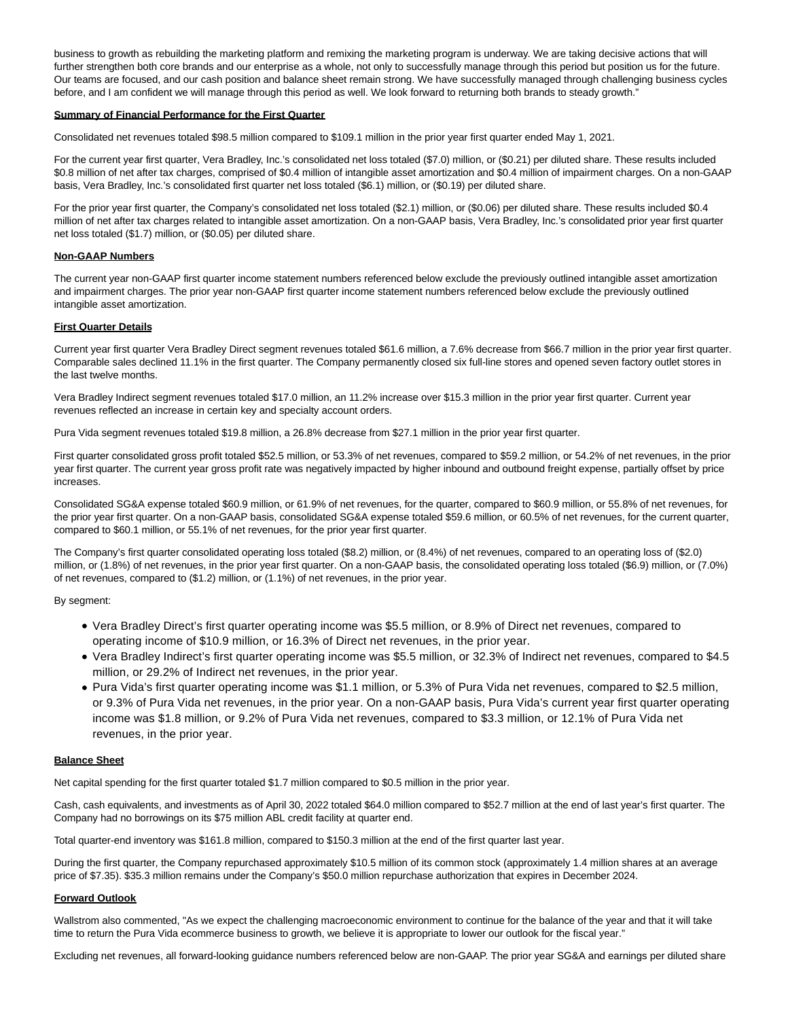business to growth as rebuilding the marketing platform and remixing the marketing program is underway. We are taking decisive actions that will further strengthen both core brands and our enterprise as a whole, not only to successfully manage through this period but position us for the future. Our teams are focused, and our cash position and balance sheet remain strong. We have successfully managed through challenging business cycles before, and I am confident we will manage through this period as well. We look forward to returning both brands to steady growth."

#### **Summary of Financial Performance for the First Quarter**

Consolidated net revenues totaled \$98.5 million compared to \$109.1 million in the prior year first quarter ended May 1, 2021.

For the current year first quarter, Vera Bradley, Inc.'s consolidated net loss totaled (\$7.0) million, or (\$0.21) per diluted share. These results included \$0.8 million of net after tax charges, comprised of \$0.4 million of intangible asset amortization and \$0.4 million of impairment charges. On a non-GAAP basis, Vera Bradley, Inc.'s consolidated first quarter net loss totaled (\$6.1) million, or (\$0.19) per diluted share.

For the prior year first quarter, the Company's consolidated net loss totaled (\$2.1) million, or (\$0.06) per diluted share. These results included \$0.4 million of net after tax charges related to intangible asset amortization. On a non-GAAP basis, Vera Bradley, Inc.'s consolidated prior year first quarter net loss totaled (\$1.7) million, or (\$0.05) per diluted share.

#### **Non-GAAP Numbers**

The current year non-GAAP first quarter income statement numbers referenced below exclude the previously outlined intangible asset amortization and impairment charges. The prior year non-GAAP first quarter income statement numbers referenced below exclude the previously outlined intangible asset amortization.

#### **First Quarter Details**

Current year first quarter Vera Bradley Direct segment revenues totaled \$61.6 million, a 7.6% decrease from \$66.7 million in the prior year first quarter. Comparable sales declined 11.1% in the first quarter. The Company permanently closed six full-line stores and opened seven factory outlet stores in the last twelve months.

Vera Bradley Indirect segment revenues totaled \$17.0 million, an 11.2% increase over \$15.3 million in the prior year first quarter. Current year revenues reflected an increase in certain key and specialty account orders.

Pura Vida segment revenues totaled \$19.8 million, a 26.8% decrease from \$27.1 million in the prior year first quarter.

First quarter consolidated gross profit totaled \$52.5 million, or 53.3% of net revenues, compared to \$59.2 million, or 54.2% of net revenues, in the prior year first quarter. The current year gross profit rate was negatively impacted by higher inbound and outbound freight expense, partially offset by price increases.

Consolidated SG&A expense totaled \$60.9 million, or 61.9% of net revenues, for the quarter, compared to \$60.9 million, or 55.8% of net revenues, for the prior year first quarter. On a non-GAAP basis, consolidated SG&A expense totaled \$59.6 million, or 60.5% of net revenues, for the current quarter, compared to \$60.1 million, or 55.1% of net revenues, for the prior year first quarter.

The Company's first quarter consolidated operating loss totaled (\$8.2) million, or (8.4%) of net revenues, compared to an operating loss of (\$2.0) million, or (1.8%) of net revenues, in the prior year first quarter. On a non-GAAP basis, the consolidated operating loss totaled (\$6.9) million, or (7.0%) of net revenues, compared to (\$1.2) million, or (1.1%) of net revenues, in the prior year.

By segment:

- Vera Bradley Direct's first quarter operating income was \$5.5 million, or 8.9% of Direct net revenues, compared to operating income of \$10.9 million, or 16.3% of Direct net revenues, in the prior year.
- Vera Bradley Indirect's first quarter operating income was \$5.5 million, or 32.3% of Indirect net revenues, compared to \$4.5 million, or 29.2% of Indirect net revenues, in the prior year.
- Pura Vida's first quarter operating income was \$1.1 million, or 5.3% of Pura Vida net revenues, compared to \$2.5 million, or 9.3% of Pura Vida net revenues, in the prior year. On a non-GAAP basis, Pura Vida's current year first quarter operating income was \$1.8 million, or 9.2% of Pura Vida net revenues, compared to \$3.3 million, or 12.1% of Pura Vida net revenues, in the prior year.

#### **Balance Sheet**

Net capital spending for the first quarter totaled \$1.7 million compared to \$0.5 million in the prior year.

Cash, cash equivalents, and investments as of April 30, 2022 totaled \$64.0 million compared to \$52.7 million at the end of last year's first quarter. The Company had no borrowings on its \$75 million ABL credit facility at quarter end.

Total quarter-end inventory was \$161.8 million, compared to \$150.3 million at the end of the first quarter last year.

During the first quarter, the Company repurchased approximately \$10.5 million of its common stock (approximately 1.4 million shares at an average price of \$7.35). \$35.3 million remains under the Company's \$50.0 million repurchase authorization that expires in December 2024.

### **Forward Outlook**

Wallstrom also commented, "As we expect the challenging macroeconomic environment to continue for the balance of the year and that it will take time to return the Pura Vida ecommerce business to growth, we believe it is appropriate to lower our outlook for the fiscal year."

Excluding net revenues, all forward-looking guidance numbers referenced below are non-GAAP. The prior year SG&A and earnings per diluted share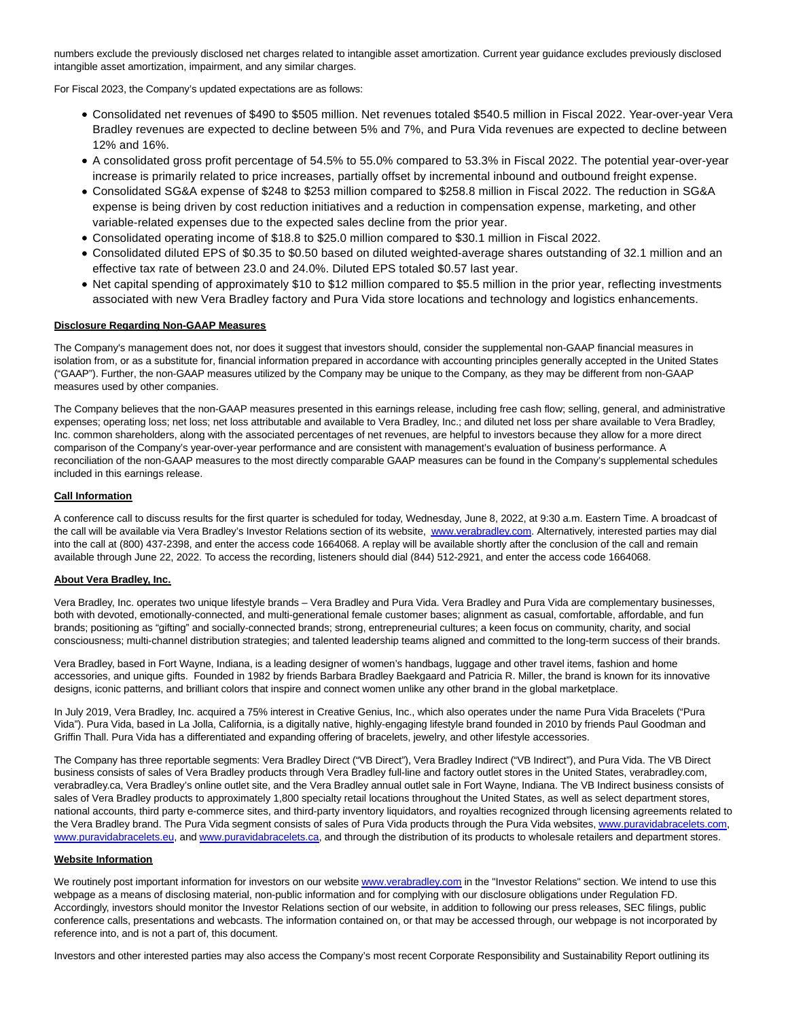numbers exclude the previously disclosed net charges related to intangible asset amortization. Current year guidance excludes previously disclosed intangible asset amortization, impairment, and any similar charges.

For Fiscal 2023, the Company's updated expectations are as follows:

- Consolidated net revenues of \$490 to \$505 million. Net revenues totaled \$540.5 million in Fiscal 2022. Year-over-year Vera Bradley revenues are expected to decline between 5% and 7%, and Pura Vida revenues are expected to decline between 12% and 16%.
- A consolidated gross profit percentage of 54.5% to 55.0% compared to 53.3% in Fiscal 2022. The potential year-over-year increase is primarily related to price increases, partially offset by incremental inbound and outbound freight expense.
- Consolidated SG&A expense of \$248 to \$253 million compared to \$258.8 million in Fiscal 2022. The reduction in SG&A expense is being driven by cost reduction initiatives and a reduction in compensation expense, marketing, and other variable-related expenses due to the expected sales decline from the prior year.
- Consolidated operating income of \$18.8 to \$25.0 million compared to \$30.1 million in Fiscal 2022.
- Consolidated diluted EPS of \$0.35 to \$0.50 based on diluted weighted-average shares outstanding of 32.1 million and an effective tax rate of between 23.0 and 24.0%. Diluted EPS totaled \$0.57 last year.
- Net capital spending of approximately \$10 to \$12 million compared to \$5.5 million in the prior year, reflecting investments associated with new Vera Bradley factory and Pura Vida store locations and technology and logistics enhancements.

#### **Disclosure Regarding Non-GAAP Measures**

The Company's management does not, nor does it suggest that investors should, consider the supplemental non-GAAP financial measures in isolation from, or as a substitute for, financial information prepared in accordance with accounting principles generally accepted in the United States ("GAAP"). Further, the non-GAAP measures utilized by the Company may be unique to the Company, as they may be different from non-GAAP measures used by other companies.

The Company believes that the non-GAAP measures presented in this earnings release, including free cash flow; selling, general, and administrative expenses; operating loss; net loss; net loss attributable and available to Vera Bradley, Inc.; and diluted net loss per share available to Vera Bradley, Inc. common shareholders, along with the associated percentages of net revenues, are helpful to investors because they allow for a more direct comparison of the Company's year-over-year performance and are consistent with management's evaluation of business performance. A reconciliation of the non-GAAP measures to the most directly comparable GAAP measures can be found in the Company's supplemental schedules included in this earnings release.

### **Call Information**

A conference call to discuss results for the first quarter is scheduled for today, Wednesday, June 8, 2022, at 9:30 a.m. Eastern Time. A broadcast of the call will be available via Vera Bradley's Investor Relations section of its website, [www.verabradley.com.](https://www.globenewswire.com/Tracker?data=zBhzDwO4hH70I7G2wJhY8X8t9aM9oTQkPRwRxFFV5XybPE0I-phIsVL6YRN2AC5MudRr1fcbs3KjPYiH-FvMqafES4wuYbJF7Vnvrj5H3dA=) Alternatively, interested parties may dial into the call at (800) 437-2398, and enter the access code 1664068. A replay will be available shortly after the conclusion of the call and remain available through June 22, 2022. To access the recording, listeners should dial (844) 512-2921, and enter the access code 1664068.

#### **About Vera Bradley, Inc.**

Vera Bradley, Inc. operates two unique lifestyle brands – Vera Bradley and Pura Vida. Vera Bradley and Pura Vida are complementary businesses, both with devoted, emotionally-connected, and multi-generational female customer bases; alignment as casual, comfortable, affordable, and fun brands; positioning as "gifting" and socially-connected brands; strong, entrepreneurial cultures; a keen focus on community, charity, and social consciousness; multi-channel distribution strategies; and talented leadership teams aligned and committed to the long-term success of their brands.

Vera Bradley, based in Fort Wayne, Indiana, is a leading designer of women's handbags, luggage and other travel items, fashion and home accessories, and unique gifts. Founded in 1982 by friends Barbara Bradley Baekgaard and Patricia R. Miller, the brand is known for its innovative designs, iconic patterns, and brilliant colors that inspire and connect women unlike any other brand in the global marketplace.

In July 2019, Vera Bradley, Inc. acquired a 75% interest in Creative Genius, Inc., which also operates under the name Pura Vida Bracelets ("Pura Vida"). Pura Vida, based in La Jolla, California, is a digitally native, highly-engaging lifestyle brand founded in 2010 by friends Paul Goodman and Griffin Thall. Pura Vida has a differentiated and expanding offering of bracelets, jewelry, and other lifestyle accessories.

The Company has three reportable segments: Vera Bradley Direct ("VB Direct"), Vera Bradley Indirect ("VB Indirect"), and Pura Vida. The VB Direct business consists of sales of Vera Bradley products through Vera Bradley full-line and factory outlet stores in the United States, verabradley.com, verabradley.ca, Vera Bradley's online outlet site, and the Vera Bradley annual outlet sale in Fort Wayne, Indiana. The VB Indirect business consists of sales of Vera Bradley products to approximately 1,800 specialty retail locations throughout the United States, as well as select department stores, national accounts, third party e-commerce sites, and third-party inventory liquidators, and royalties recognized through licensing agreements related to the Vera Bradley brand. The Pura Vida segment consists of sales of Pura Vida products through the Pura Vida websites[, www.puravidabracelets.com,](https://www.globenewswire.com/Tracker?data=VXK-JgdJnpLlzLCV9_9h1P1iHzsqH-ir5WoiM9PmeDPa33ZNrbUBf3eLNSXMx6z_z_6mrss54jYeHmUcMP_MkAYC4zgL3zPYuIjA3VQPe1k=) [www.puravidabracelets.eu,](https://www.globenewswire.com/Tracker?data=VXK-JgdJnpLlzLCV9_9h1P1iHzsqH-ir5WoiM9PmeDP6NMxCVcDJeM4KxhHwLldRAk6t0Rxs-8bod9m1A6CTwMv6saO3nTZ2FGv-SlBG9XI=) an[d www.puravidabracelets.ca,](https://www.globenewswire.com/Tracker?data=VXK-JgdJnpLlzLCV9_9h1P1iHzsqH-ir5WoiM9PmeDNhlntFRG4Tc3_1FXIJsNSizQMh71JOQqE58kBV80k5UfGGirLmNYs5ZYgCQ4CrMVE=) and through the distribution of its products to wholesale retailers and department stores.

#### **Website Information**

We routinely post important information for investors on our websit[e www.verabradley.com i](https://www.globenewswire.com/Tracker?data=zBhzDwO4hH70I7G2wJhY8etzE-YUHvj9AMizcaFYLftlJ5HOpvI70aqOY1dQv2ezZvu-k5lvZYBH2OL9yXRGJAojBjjOzfgg-kexEDj2pdE=)n the "Investor Relations" section. We intend to use this webpage as a means of disclosing material, non-public information and for complying with our disclosure obligations under Regulation FD. Accordingly, investors should monitor the Investor Relations section of our website, in addition to following our press releases, SEC filings, public conference calls, presentations and webcasts. The information contained on, or that may be accessed through, our webpage is not incorporated by reference into, and is not a part of, this document.

Investors and other interested parties may also access the Company's most recent Corporate Responsibility and Sustainability Report outlining its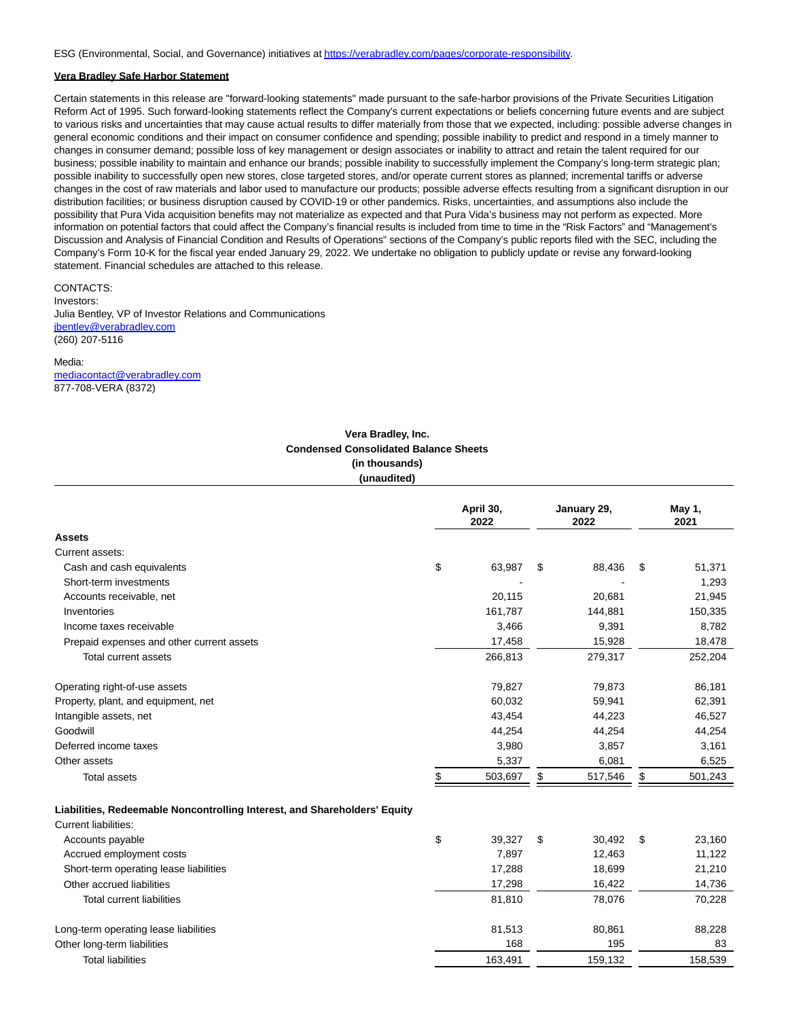ESG (Environmental, Social, and Governance) initiatives a[t https://verabradley.com/pages/corporate-responsibility.](https://www.globenewswire.com/Tracker?data=XjR9Ino_N_MiHH__VIQUGgZKtiGGThBWm4EAMLq4I6Rs_Wyfx7ktTkrRXcav_1Jgo_3CS1AxsKJ815PorLNht0Zfj-B4lyraM3U6W-5xDQqnP1VJGV6EEQbpq9VtPAfF4gnn1thdX_fBEGZJs682uzazULQstQHUujkJ3vAovlNZV_HRayahHzVc8x3SPZI5)

### **Vera Bradley Safe Harbor Statement**

Certain statements in this release are "forward-looking statements" made pursuant to the safe-harbor provisions of the Private Securities Litigation Reform Act of 1995. Such forward-looking statements reflect the Company's current expectations or beliefs concerning future events and are subject to various risks and uncertainties that may cause actual results to differ materially from those that we expected, including: possible adverse changes in general economic conditions and their impact on consumer confidence and spending; possible inability to predict and respond in a timely manner to changes in consumer demand; possible loss of key management or design associates or inability to attract and retain the talent required for our business; possible inability to maintain and enhance our brands; possible inability to successfully implement the Company's long-term strategic plan; possible inability to successfully open new stores, close targeted stores, and/or operate current stores as planned; incremental tariffs or adverse changes in the cost of raw materials and labor used to manufacture our products; possible adverse effects resulting from a significant disruption in our distribution facilities; or business disruption caused by COVID-19 or other pandemics. Risks, uncertainties, and assumptions also include the possibility that Pura Vida acquisition benefits may not materialize as expected and that Pura Vida's business may not perform as expected. More information on potential factors that could affect the Company's financial results is included from time to time in the "Risk Factors" and "Management's Discussion and Analysis of Financial Condition and Results of Operations" sections of the Company's public reports filed with the SEC, including the Company's Form 10-K for the fiscal year ended January 29, 2022. We undertake no obligation to publicly update or revise any forward-looking statement. Financial schedules are attached to this release.

CONTACTS: Investors: Julia Bentley, VP of Investor Relations and Communications ibentley@verabradley.com (260) 207-5116

#### Media:

[mediacontact@verabradley.com](https://www.globenewswire.com/Tracker?data=Mr6K-W8zuqXFWhO9lRHuHmOMH-bSgUMTcoD6nb78rpBb_-G9FpN3ihchO_KZL9ZsO3NFUOVoGCupdf5qbmfTlf7QT_udXf4iA8fkOTAgm3ftulmWwh9D8ytammeWFgGe) 877-708-VERA (8372)

## **Vera Bradley, Inc. Condensed Consolidated Balance Sheets (in thousands) (unaudited)**

|                                                                           | April 30,<br>2022 | January 29,<br>2022 | May 1,<br>2021 |
|---------------------------------------------------------------------------|-------------------|---------------------|----------------|
| <b>Assets</b>                                                             |                   |                     |                |
| Current assets:                                                           |                   |                     |                |
| Cash and cash equivalents                                                 | \$<br>63,987      | \$<br>88,436        | \$<br>51,371   |
| Short-term investments                                                    |                   |                     | 1,293          |
| Accounts receivable, net                                                  | 20.115            | 20,681              | 21,945         |
| Inventories                                                               | 161,787           | 144,881             | 150,335        |
| Income taxes receivable                                                   | 3,466             | 9,391               | 8,782          |
| Prepaid expenses and other current assets                                 | 17,458            | 15,928              | 18,478         |
| Total current assets                                                      | 266,813           | 279,317             | 252,204        |
| Operating right-of-use assets                                             | 79,827            | 79,873              | 86,181         |
| Property, plant, and equipment, net                                       | 60,032            | 59,941              | 62,391         |
| Intangible assets, net                                                    | 43,454            | 44,223              | 46,527         |
| Goodwill                                                                  | 44,254            | 44,254              | 44,254         |
| Deferred income taxes                                                     | 3,980             | 3,857               | 3,161          |
| Other assets                                                              | 5,337             | 6,081               | 6,525          |
| <b>Total assets</b>                                                       | \$<br>503,697     | \$<br>517,546       | \$<br>501,243  |
| Liabilities, Redeemable Noncontrolling Interest, and Shareholders' Equity |                   |                     |                |
| Current liabilities:                                                      |                   |                     |                |
| Accounts payable                                                          | \$<br>39,327      | \$<br>30,492        | \$<br>23,160   |
| Accrued employment costs                                                  | 7,897             | 12,463              | 11,122         |
| Short-term operating lease liabilities                                    | 17,288            | 18,699              | 21,210         |
| Other accrued liabilities                                                 | 17,298            | 16,422              | 14,736         |
| <b>Total current liabilities</b>                                          | 81,810            | 78,076              | 70,228         |
| Long-term operating lease liabilities                                     | 81,513            | 80,861              | 88,228         |
| Other long-term liabilities                                               | 168               | 195                 | 83             |
| <b>Total liabilities</b>                                                  | 163,491           | 159,132             | 158,539        |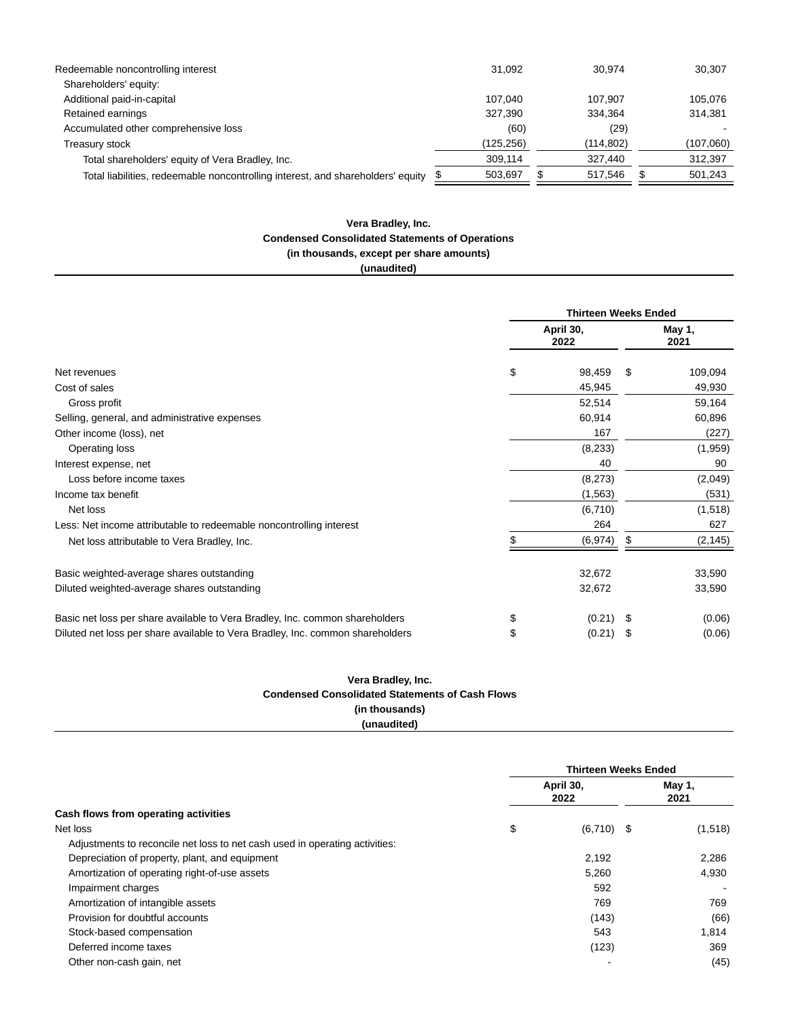| Redeemable noncontrolling interest                                              | 31.092     | 30.974     | 30,307    |
|---------------------------------------------------------------------------------|------------|------------|-----------|
| Shareholders' equity:                                                           |            |            |           |
| Additional paid-in-capital                                                      | 107.040    | 107.907    | 105.076   |
| Retained earnings                                                               | 327.390    | 334.364    | 314.381   |
| Accumulated other comprehensive loss                                            | (60)       | (29)       |           |
| Treasury stock                                                                  | (125, 256) | (114, 802) | (107,060) |
| Total shareholders' equity of Vera Bradley, Inc.                                | 309.114    | 327.440    | 312,397   |
| Total liabilities, redeemable noncontrolling interest, and shareholders' equity | 503,697    | 517.546    | 501.243   |

## **Vera Bradley, Inc. Condensed Consolidated Statements of Operations (in thousands, except per share amounts)**

**(unaudited)**

|                                                                                | <b>Thirteen Weeks Ended</b> |                |    |          |
|--------------------------------------------------------------------------------|-----------------------------|----------------|----|----------|
|                                                                                | April 30,                   | May 1,<br>2021 |    |          |
| Net revenues                                                                   | \$                          | 98,459         | S  | 109,094  |
| Cost of sales                                                                  |                             | 45,945         |    | 49,930   |
| Gross profit                                                                   |                             | 52,514         |    | 59,164   |
| Selling, general, and administrative expenses                                  |                             | 60,914         |    | 60,896   |
| Other income (loss), net                                                       |                             | 167            |    | (227)    |
| Operating loss                                                                 |                             | (8,233)        |    | (1,959)  |
| Interest expense, net                                                          |                             | 40             |    | 90       |
| Loss before income taxes                                                       |                             | (8,273)        |    | (2,049)  |
| Income tax benefit                                                             |                             | (1, 563)       |    | (531)    |
| Net loss                                                                       |                             | (6,710)        |    | (1,518)  |
| Less: Net income attributable to redeemable noncontrolling interest            |                             | 264            |    | 627      |
| Net loss attributable to Vera Bradley, Inc.                                    |                             | (6, 974)       | S  | (2, 145) |
| Basic weighted-average shares outstanding                                      |                             | 32,672         |    | 33,590   |
| Diluted weighted-average shares outstanding                                    |                             | 32,672         |    | 33,590   |
| Basic net loss per share available to Vera Bradley, Inc. common shareholders   | \$                          | (0.21)         | \$ | (0.06)   |
| Diluted net loss per share available to Vera Bradley, Inc. common shareholders | \$                          | (0.21)         | \$ | (0.06)   |

## **Vera Bradley, Inc. Condensed Consolidated Statements of Cash Flows (in thousands) (unaudited)**

|                                                                             | <b>Thirteen Weeks Ended</b> |                |  |         |  |  |  |
|-----------------------------------------------------------------------------|-----------------------------|----------------|--|---------|--|--|--|
|                                                                             | April 30,                   | May 1,<br>2021 |  |         |  |  |  |
| Cash flows from operating activities                                        |                             |                |  |         |  |  |  |
| Net loss                                                                    | \$                          | $(6,710)$ \$   |  | (1,518) |  |  |  |
| Adjustments to reconcile net loss to net cash used in operating activities: |                             |                |  |         |  |  |  |
| Depreciation of property, plant, and equipment                              |                             | 2,192          |  | 2,286   |  |  |  |
| Amortization of operating right-of-use assets                               |                             | 5,260          |  | 4,930   |  |  |  |
| Impairment charges                                                          |                             | 592            |  |         |  |  |  |
| Amortization of intangible assets                                           |                             | 769            |  | 769     |  |  |  |
| Provision for doubtful accounts                                             |                             | (143)          |  | (66)    |  |  |  |
| Stock-based compensation                                                    |                             | 543            |  | 1.814   |  |  |  |
| Deferred income taxes                                                       |                             | (123)          |  | 369     |  |  |  |
| Other non-cash gain, net                                                    |                             |                |  | (45)    |  |  |  |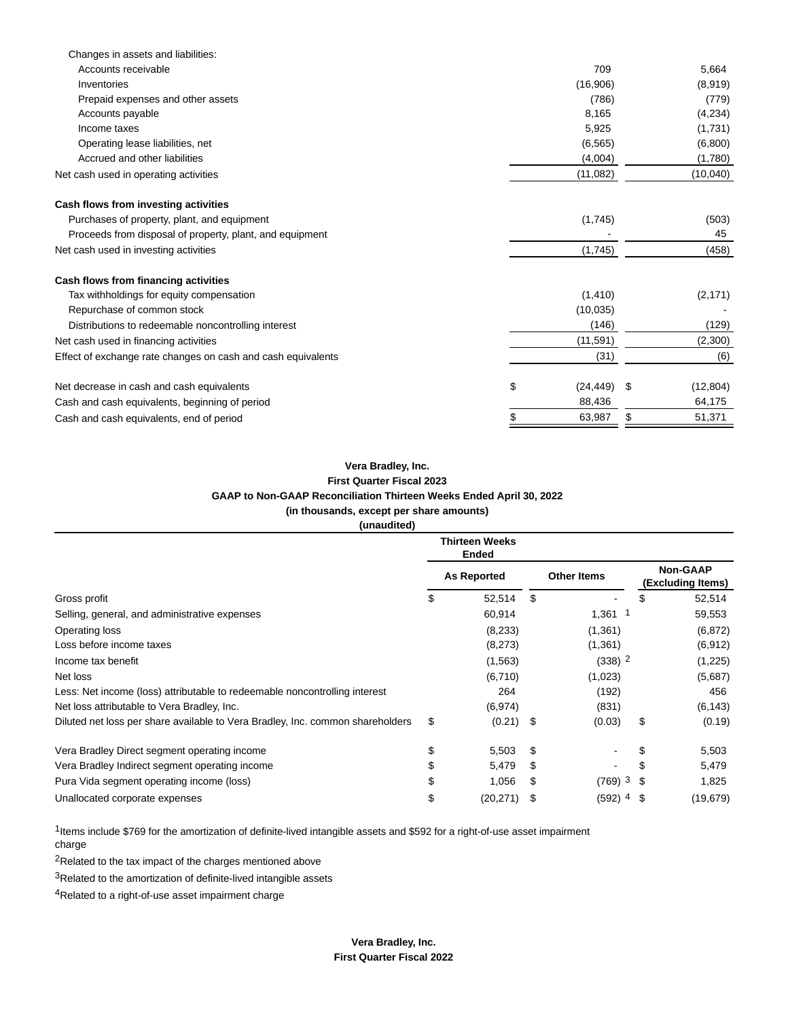| Changes in assets and liabilities:                           |                 |                 |
|--------------------------------------------------------------|-----------------|-----------------|
| Accounts receivable                                          | 709             | 5,664           |
| Inventories                                                  | (16,906)        | (8,919)         |
| Prepaid expenses and other assets                            | (786)           | (779)           |
| Accounts payable                                             | 8,165           | (4,234)         |
| Income taxes                                                 | 5,925           | (1,731)         |
| Operating lease liabilities, net                             | (6, 565)        | (6,800)         |
| Accrued and other liabilities                                | (4,004)         | (1,780)         |
| Net cash used in operating activities                        | (11,082)        | (10,040)        |
| Cash flows from investing activities                         |                 |                 |
| Purchases of property, plant, and equipment                  | (1,745)         | (503)           |
| Proceeds from disposal of property, plant, and equipment     |                 | 45              |
| Net cash used in investing activities                        | (1,745)         | (458)           |
| Cash flows from financing activities                         |                 |                 |
| Tax withholdings for equity compensation                     | (1, 410)        | (2, 171)        |
| Repurchase of common stock                                   | (10, 035)       |                 |
| Distributions to redeemable noncontrolling interest          | (146)           | (129)           |
| Net cash used in financing activities                        | (11, 591)       | (2,300)         |
| Effect of exchange rate changes on cash and cash equivalents | (31)            | (6)             |
| Net decrease in cash and cash equivalents                    | \$<br>(24, 449) | \$<br>(12, 804) |
| Cash and cash equivalents, beginning of period               | 88,436          | 64,175          |
| Cash and cash equivalents, end of period                     | \$<br>63,987    | \$<br>51,371    |

## **Vera Bradley, Inc. First Quarter Fiscal 2023 GAAP to Non-GAAP Reconciliation Thirteen Weeks Ended April 30, 2022 (in thousands, except per share amounts) (unaudited)**

|                                                                                | <b>Thirteen Weeks</b><br><b>Ended</b> |    |                      |      |                                      |
|--------------------------------------------------------------------------------|---------------------------------------|----|----------------------|------|--------------------------------------|
|                                                                                | <b>As Reported</b>                    |    | <b>Other Items</b>   |      | <b>Non-GAAP</b><br>(Excluding Items) |
| Gross profit                                                                   | \$<br>52,514                          | \$ |                      | \$   | 52,514                               |
| Selling, general, and administrative expenses                                  | 60,914                                |    | $1,361$ 1            |      | 59,553                               |
| Operating loss                                                                 | (8,233)                               |    | (1, 361)             |      | (6, 872)                             |
| Loss before income taxes                                                       | (8,273)                               |    | (1,361)              |      | (6, 912)                             |
| Income tax benefit                                                             | (1, 563)                              |    | $(338)$ <sup>2</sup> |      | (1,225)                              |
| Net loss                                                                       | (6,710)                               |    | (1,023)              |      | (5,687)                              |
| Less: Net income (loss) attributable to redeemable noncontrolling interest     | 264                                   |    | (192)                |      | 456                                  |
| Net loss attributable to Vera Bradley, Inc.                                    | (6, 974)                              |    | (831)                |      | (6, 143)                             |
| Diluted net loss per share available to Vera Bradley, Inc. common shareholders | \$<br>$(0.21)$ \$                     |    | (0.03)               | \$   | (0.19)                               |
| Vera Bradley Direct segment operating income                                   | \$<br>5,503                           | S  |                      |      | 5,503                                |
| Vera Bradley Indirect segment operating income                                 | 5,479                                 | S  |                      | S    | 5,479                                |
| Pura Vida segment operating income (loss)                                      | \$<br>1,056                           | \$ | $(769)$ <sup>3</sup> | - \$ | 1,825                                |
| Unallocated corporate expenses                                                 | \$<br>(20, 271)                       |    | (592) 4              | - \$ | (19, 679)                            |

1Items include \$769 for the amortization of definite-lived intangible assets and \$592 for a right-of-use asset impairment charge

2Related to the tax impact of the charges mentioned above

3Related to the amortization of definite-lived intangible assets

4Related to a right-of-use asset impairment charge